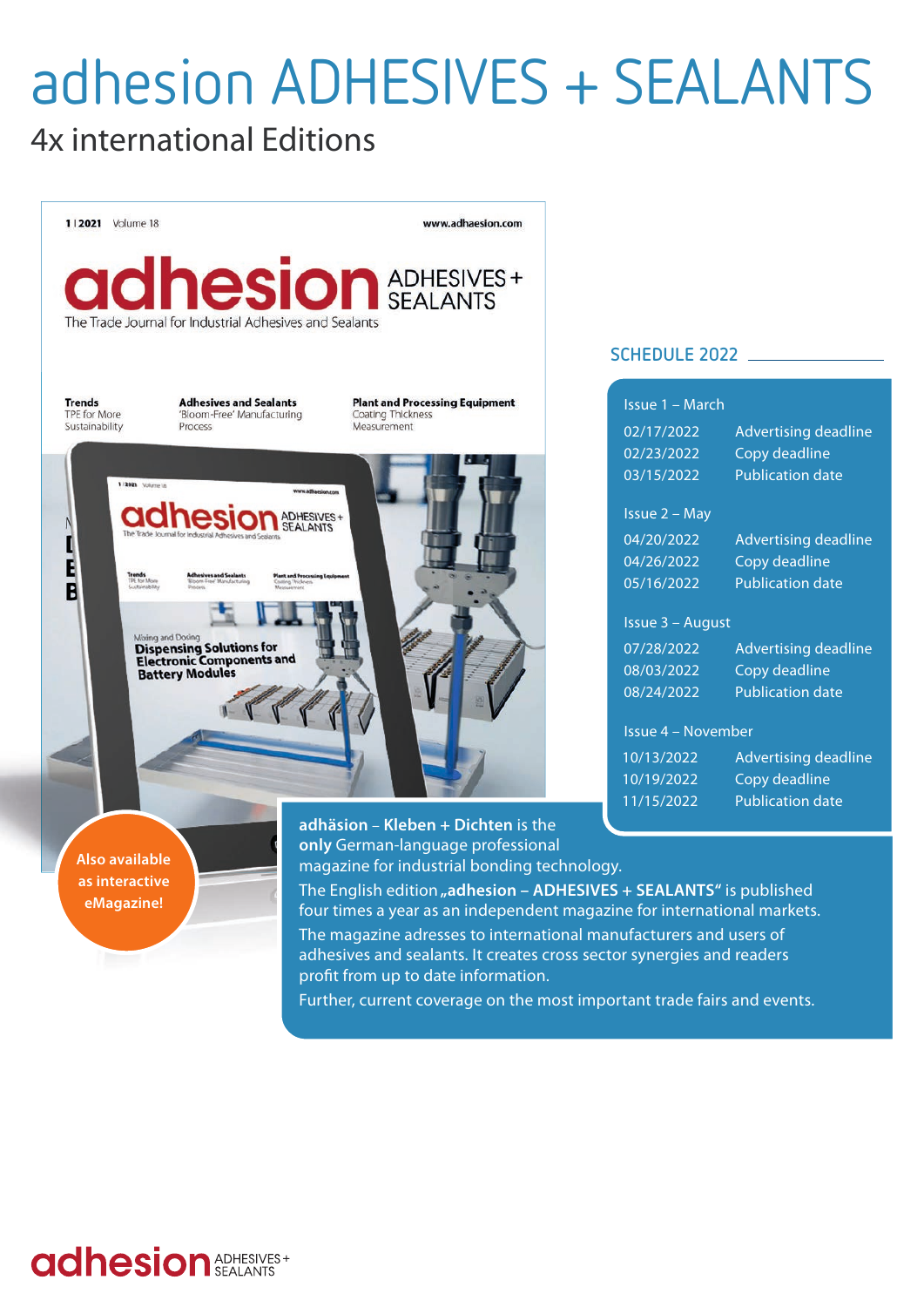# adhesion ADHESIVES + SEALANTS

# 4x international Editions



#### **SCHEDULE 2022**

|      | Issue 1 - March      |                             |  |  |
|------|----------------------|-----------------------------|--|--|
|      | 02/17/2022           | <b>Advertising deadline</b> |  |  |
|      | 02/23/2022           | Copy deadline               |  |  |
|      | 03/15/2022           | <b>Publication date</b>     |  |  |
|      | <b>Issue 2 - May</b> |                             |  |  |
|      | 04/20/2022           | <b>Advertising deadline</b> |  |  |
|      | 04/26/2022           | Copy deadline               |  |  |
|      | 05/16/2022           | <b>Publication date</b>     |  |  |
|      | Issue 3 – August     |                             |  |  |
|      | 07/28/2022           | <b>Advertising deadline</b> |  |  |
|      | 08/03/2022           | Copy deadline               |  |  |
|      | 08/24/2022           | <b>Publication date</b>     |  |  |
|      | Issue 4 - November   |                             |  |  |
|      | 10/13/2022           | <b>Advertising deadline</b> |  |  |
|      | 10/19/2022           | Copy deadline               |  |  |
|      | 11/15/2022           | <b>Publication date</b>     |  |  |
|      |                      |                             |  |  |
| ogy. |                      |                             |  |  |
|      |                      |                             |  |  |

**adhesion** ADHESIVES+